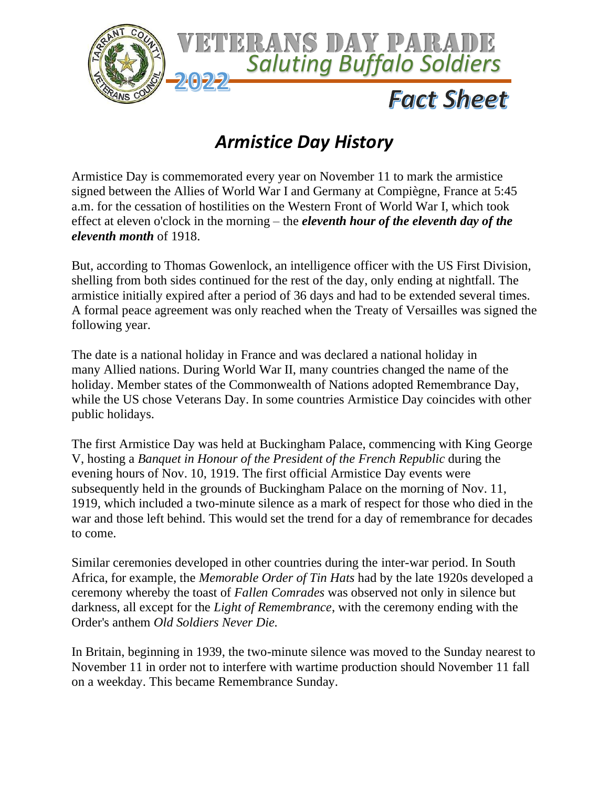

## *Armistice Day History*

Armistice Day is commemorated every year on November 11 to mark the armistice signed between the Allies of World War I and Germany at Compiègne, France at 5:45 a.m. for the cessation of hostilities on the Western Front of World War I, which took effect at eleven o'clock in the morning – the *eleventh hour of the eleventh day of the eleventh month* of 1918.

But, according to Thomas Gowenlock, an intelligence officer with the US First Division, shelling from both sides continued for the rest of the day, only ending at nightfall. The armistice initially expired after a period of 36 days and had to be extended several times. A formal peace agreement was only reached when the Treaty of Versailles was signed the following year.

The date is a national holiday in France and was declared a national holiday in many Allied nations. During World War II, many countries changed the name of the holiday. Member states of the Commonwealth of Nations adopted Remembrance Day, while the US chose Veterans Day. In some countries Armistice Day coincides with other public holidays.

The first Armistice Day was held at Buckingham Palace, commencing with King George V, hosting a *Banquet in Honour of the President of the French Republic* during the evening hours of Nov. 10, 1919. The first official Armistice Day events were subsequently held in the grounds of Buckingham Palace on the morning of Nov. 11, 1919, which included a two-minute silence as a mark of respect for those who died in the war and those left behind. This would set the trend for a day of remembrance for decades to come.

Similar ceremonies developed in other countries during the inter-war period. In South Africa, for example, the *Memorable Order of Tin Hats* had by the late 1920s developed a ceremony whereby the toast of *Fallen Comrades* was observed not only in silence but darkness, all except for the *Light of Remembrance*, with the ceremony ending with the Order's anthem *Old Soldiers Never Die.*

In Britain, beginning in 1939, the two-minute silence was moved to the Sunday nearest to November 11 in order not to interfere with wartime production should November 11 fall on a weekday. This became Remembrance Sunday.